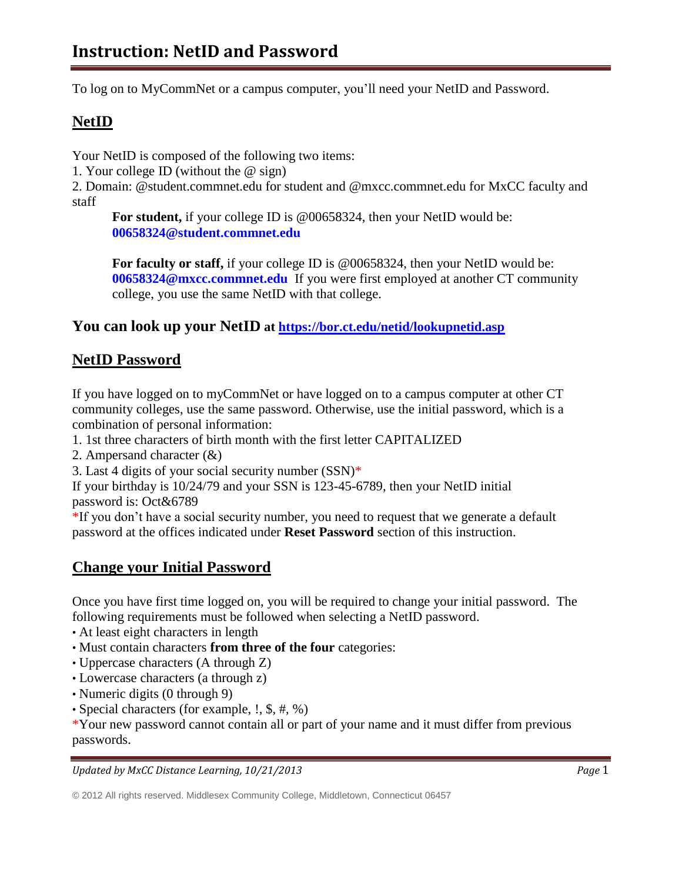To log on to MyCommNet or a campus computer, you'll need your NetID and Password.

# **NetID**

Your NetID is composed of the following two items:

1. Your college ID (without the @ sign)

2. Domain: @student.commnet.edu for student and @mxcc.commnet.edu for MxCC faculty and staff

**For student,** if your college ID is @00658324, then your NetID would be: **[00658324@student.commnet.edu](mailto:00658324@student.commnet.edu)**

**For faculty or staff,** if your college ID is @00658324, then your NetID would be: **[00658324@mxcc.commnet.edu](mailto:00658324@mxcc.commnet.edu)** If you were first employed at another CT community college, you use the same NetID with that college.

### **You can look up your NetID at<https://bor.ct.edu/netid/lookupnetid.asp>**

### **NetID Password**

If you have logged on to myCommNet or have logged on to a campus computer at other CT community colleges, use the same password. Otherwise, use the initial password, which is a combination of personal information:

- 1. 1st three characters of birth month with the first letter CAPITALIZED
- 2. Ampersand character (&)
- 3. Last 4 digits of your social security number (SSN)\*

If your birthday is 10/24/79 and your SSN is 123-45-6789, then your NetID initial password is: Oct&6789

\*If you don't have a social security number, you need to request that we generate a default password at the offices indicated under **Reset Password** section of this instruction.

## **Change your Initial Password**

Once you have first time logged on, you will be required to change your initial password. The following requirements must be followed when selecting a NetID password.

- At least eight characters in length
- Must contain characters **from three of the four** categories:
- Uppercase characters (A through Z)
- Lowercase characters (a through z)
- Numeric digits (0 through 9)
- Special characters (for example, !, \$, #, %)

\*Your new password cannot contain all or part of your name and it must differ from previous passwords.

*Updated by MxCC Distance Learning, 10/21/2013 Page* 1

<sup>© 2012</sup> All rights reserved. Middlesex Community College, Middletown, Connecticut 06457